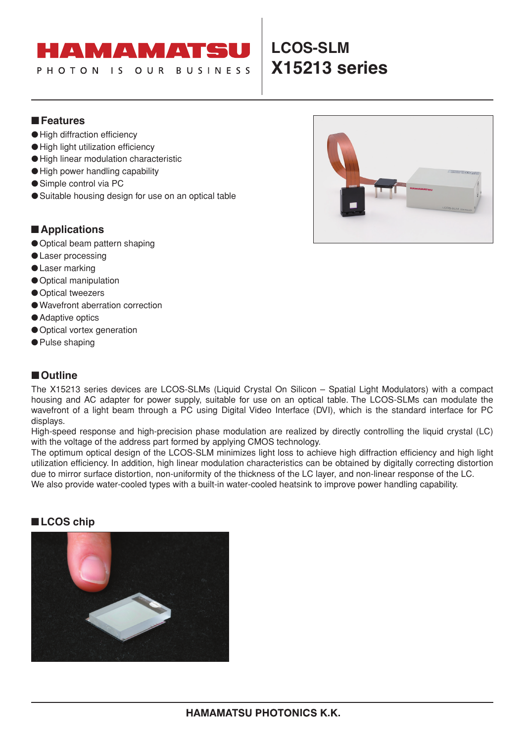### $\langle \Delta \rangle$  $\blacktriangle$

**BUSINESS** 

IS OUR

# **LCOS-SLM X15213 series**

## ■**Features**

PHOTON

- ●High diffraction efficiency
- ●High light utilization efficiency
- ●High linear modulation characteristic
- ●High power handling capability
- Simple control via PC
- Suitable housing design for use on an optical table

## ■**Applications**

- Optical beam pattern shaping
- ●Laser processing
- ●Laser marking
- Optical manipulation
- Optical tweezers
- ●Wavefront aberration correction
- Adaptive optics
- Optical vortex generation
- Pulse shaping

## ■**Outline**

The X15213 series devices are LCOS-SLMs (Liquid Crystal On Silicon – Spatial Light Modulators) with a compact housing and AC adapter for power supply, suitable for use on an optical table. The LCOS-SLMs can modulate the wavefront of a light beam through a PC using Digital Video Interface (DVI), which is the standard interface for PC displays.

High-speed response and high-precision phase modulation are realized by directly controlling the liquid crystal (LC) with the voltage of the address part formed by applying CMOS technology.

The optimum optical design of the LCOS-SLM minimizes light loss to achieve high diffraction efficiency and high light utilization efficiency. In addition, high linear modulation characteristics can be obtained by digitally correcting distortion due to mirror surface distortion, non-uniformity of the thickness of the LC layer, and non-linear response of the LC. We also provide water-cooled types with a built-in water-cooled heatsink to improve power handling capability.

## ■**LCOS chip**



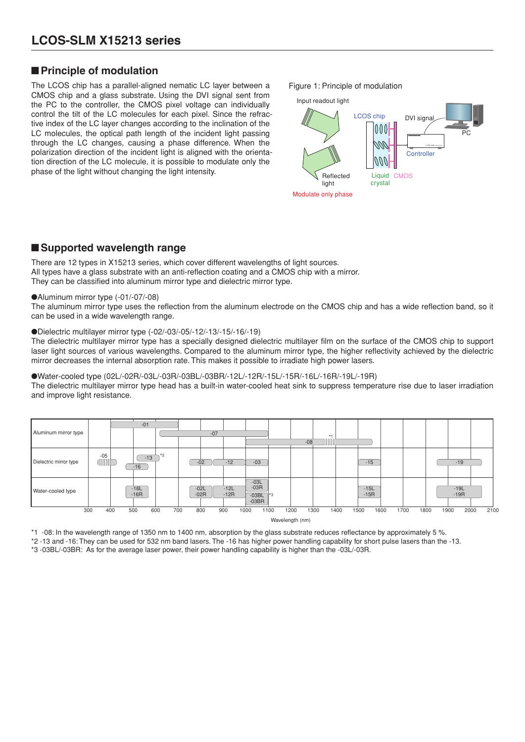## ■**Principle of modulation**

The LCOS chip has a parallel-aligned nematic LC layer between a CMOS chip and a glass substrate. Using the DVI signal sent from the PC to the controller, the CMOS pixel voltage can individually control the tilt of the LC molecules for each pixel. Since the refractive index of the LC layer changes according to the inclination of the LC molecules, the optical path length of the incident light passing through the LC changes, causing a phase difference. When the polarization direction of the incident light is aligned with the orientation direction of the LC molecule, it is possible to modulate only the phase of the light without changing the light intensity.

Figure 1: Principle of modulation



## ■**Supported wavelength range**

There are 12 types in X15213 series, which cover different wavelengths of light sources. All types have a glass substrate with an anti-reflection coating and a CMOS chip with a mirror. They can be classified into aluminum mirror type and dielectric mirror type.

### ●Aluminum mirror type (-01/-07/-08)

The aluminum mirror type uses the reflection from the aluminum electrode on the CMOS chip and has a wide reflection band, so it can be used in a wide wavelength range.

### ●Dielectric multilayer mirror type (-02/-03/-05/-12/-13/-15/-16/-19)

The dielectric multilayer mirror type has a specially designed dielectric multilayer film on the surface of the CMOS chip to support laser light sources of various wavelengths. Compared to the aluminum mirror type, the higher reflectivity achieved by the dielectric mirror decreases the internal absorption rate. This makes it possible to irradiate high power lasers.

### ●Water-cooled type (02L/-02R/-03L/-03R/-03BL/-03BR/-12L/-12R/-15L/-15R/-16L/-16R/-19L/-19R)

The dielectric multilayer mirror type head has a built-in water-cooled heat sink to suppress temperature rise due to laser irradiation and improve light resistance.



Wavelength (nm)

\*1 -08: In the wavelength range of 1350 nm to 1400 nm, absorption by the glass substrate reduces reflectance by approximately 5 %.

\*2 -13 and -16: They can be used for 532 nm band lasers. The -16 has higher power handling capability for short pulse lasers than the -13.

\*3 -03BL/-03BR: As for the average laser power, their power handling capability is higher than the -03L/-03R.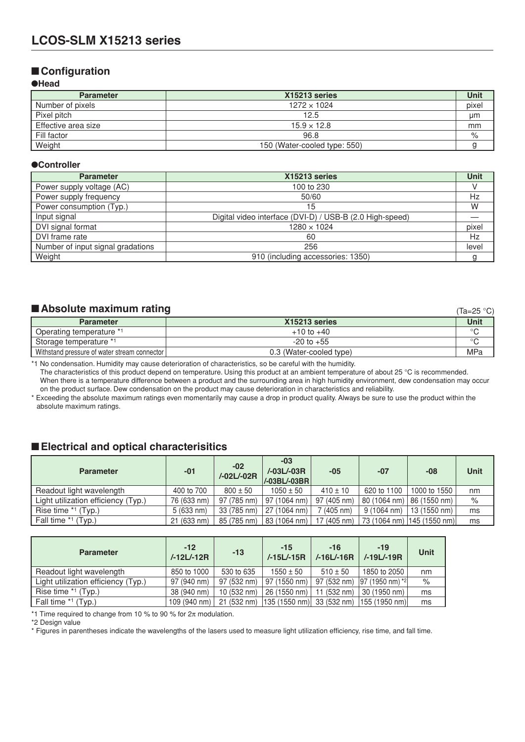## ■**Configuration**

### ●**Head**

| <b>Parameter</b>    | X15213 series                | Unit  |
|---------------------|------------------------------|-------|
| Number of pixels    | $1272 \times 1024$           | pixel |
| Pixel pitch         | 12.5                         | μm    |
| Effective area size | $15.9 \times 12.8$           | mm    |
| Fill factor         | 96.8                         | %     |
| Weight              | 150 (Water-cooled type: 550) |       |

### ●**Controller**

| <b>Parameter</b>                  | X15213 series                                            |       |  |  |
|-----------------------------------|----------------------------------------------------------|-------|--|--|
| Power supply voltage (AC)         | 100 to 230                                               |       |  |  |
| Power supply frequency            | 50/60                                                    | Hz    |  |  |
| Power consumption (Typ.)          | 15                                                       | W     |  |  |
| Input signal                      | Digital video interface (DVI-D) / USB-B (2.0 High-speed) |       |  |  |
| DVI signal format                 | $1280 \times 1024$                                       | pixel |  |  |
| DVI frame rate                    | 60                                                       | Hz    |  |  |
| Number of input signal gradations | 256                                                      | level |  |  |
| Weight                            | 910 (including accessories: 1350)                        |       |  |  |

## ■**Absolute maximum rating**

| Absolute maximum rating<br>(Ta=25 °C)        |                         |         |  |  |
|----------------------------------------------|-------------------------|---------|--|--|
| <b>Parameter</b>                             | X15213 series           | Unit    |  |  |
| Operating temperature *1                     | $+10$ to $+40$          | $\circ$ |  |  |
| Storage temperature *1                       | $-20$ to $+55$          | $\circ$ |  |  |
| Withstand pressure of water stream connector | 0.3 (Water-cooled type) | MPa     |  |  |

\*1 No condensation. Humidity may cause deterioration of characteristics, so be careful with the humidity.

The characteristics of this product depend on temperature. Using this product at an ambient temperature of about 25 °C is recommended. When there is a temperature difference between a product and the surrounding area in high humidity environment, dew condensation may occur on the product surface. Dew condensation on the product may cause deterioration in characteristics and reliability.

\* Exceeding the absolute maximum ratings even momentarily may cause a drop in product quality. Always be sure to use the product within the absolute maximum ratings.

## ■**Electrical and optical characterisitics**

| <b>Parameter</b>                    | $-01$       | $-02$<br>/-02L/-02R | $-03$<br>/-03L/-03R<br>/-03BL/-03BR | $-05$              | $-07$                | -08                          | <b>Unit</b> |
|-------------------------------------|-------------|---------------------|-------------------------------------|--------------------|----------------------|------------------------------|-------------|
| Readout light wavelength            | 400 to 700  | $800 \pm 50$        | $1050 \pm 50$                       | $410 \pm 10$       | 620 to 1100          | 1000 to 1550                 | nm          |
| Light utilization efficiency (Typ.) | 76 (633 nm) | 97 (785 nm)         | 97 (1064 nm)                        | 97 (405 nm)        | 80 (1064 nm)         | 86 (1550 nm)                 | $\%$        |
| Rise time *1 (Typ.)                 | 5(633 nm)   | 33 (785 nm)         | 27 (1064 nm)                        | $(405 \text{ nm})$ | $9(1064 \text{ nm})$ | 13 (1550 nm)                 | ms          |
| Fall time *1 (Typ.)                 | 21 (633 nm) | 85 (785 nm)         | 83 (1064 nm)                        | 17 (405 nm)        |                      | 73 (1064 nm)   145 (1550 nm) | ms          |

| <b>Parameter</b>                    | $-12$<br>/-12L/-12R | $-13$       | $-15$<br>$/-15L/-15R$ | $-16$<br>$/-16L/-16R$ | $-19$<br>/-19L/-19R | Unit |
|-------------------------------------|---------------------|-------------|-----------------------|-----------------------|---------------------|------|
| Readout light wavelength            | 850 to 1000         | 530 to 635  | $1550 \pm 50$         | $510 \pm 50$          | 1850 to 2050        | nm   |
| Light utilization efficiency (Typ.) | 97 (940 nm)         | 97 (532 nm) | 97 (1550 nm)          | 97 (532 nm)           | 97 (1950 nm) *2     | $\%$ |
| Rise time *1 (Typ.)                 | 38 (940 nm)         | 10 (532 nm) | 26 (1550 nm)          | 11 (532 nm)           | 30 (1950 nm)        | ms   |
| Fall time *1 (Typ.)                 | 109 (940 nm)        | 21 (532 nm) | 135 (1550 nm)         | 33 (532 nm)           | 155 (1950 nm)       | ms   |

\*1 Time required to change from 10 % to 90 % for  $2\pi$  modulation.

\*2 Design value

\* Figures in parentheses indicate the wavelengths of the lasers used to measure light utilization efficiency, rise time, and fall time.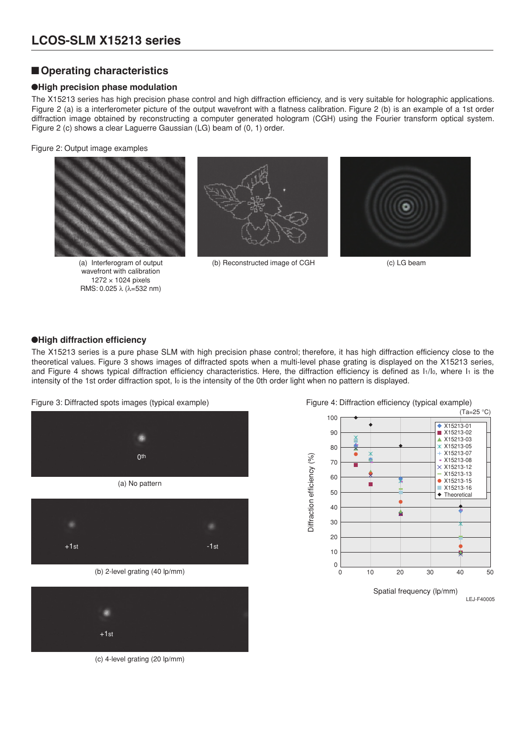## ■**Operating characteristics**

### ●**High precision phase modulation**

The X15213 series has high precision phase control and high diffraction efficiency, and is very suitable for holographic applications. Figure 2 (a) is a interferometer picture of the output wavefront with a flatness calibration. Figure 2 (b) is an example of a 1st order diffraction image obtained by reconstructing a computer generated hologram (CGH) using the Fourier transform optical system. Figure 2 (c) shows a clear Laguerre Gaussian (LG) beam of (0, 1) order.

Figure 2: Output image examples



(a) Interferogram of output wavefront with calibration 1272 × 1024 pixels RMS: 0.025 λ (λ=532 nm)



(b) Reconstructed image of CGH (c) LG beam



### ●**High diffraction efficiency**

The X15213 series is a pure phase SLM with high precision phase control; therefore, it has high diffraction efficiency close to the theoretical values. Figure 3 shows images of diffracted spots when a multi-level phase grating is displayed on the X15213 series, and Figure 4 shows typical diffraction efficiency characteristics. Here, the diffraction efficiency is defined as I1/lo, where I1 is the intensity of the 1st order diffraction spot, Io is the intensity of the 0th order light when no pattern is displayed.

Figure 3: Diffracted spots images (typical example) Figure 4: Diffraction efficiency (typical example)



(b) 2-level grating (40 lp/mm)



(c) 4-level grating (20 lp/mm)

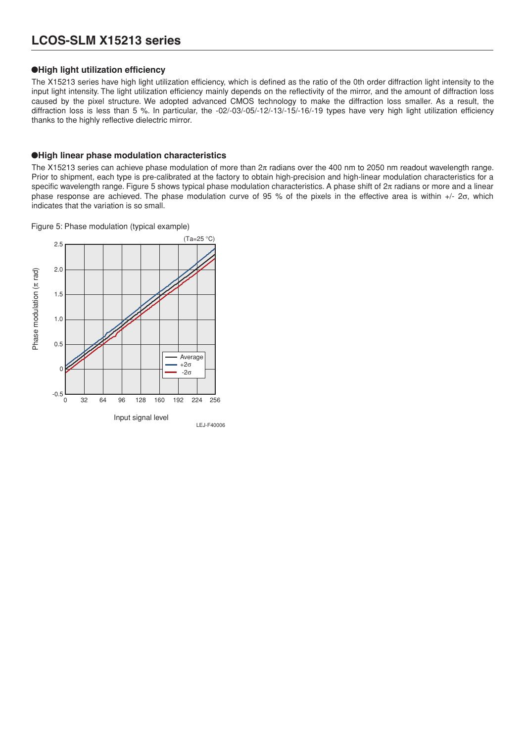## **LCOS-SLM X15213 series**

### ●**High light utilization efficiency**

The X15213 series have high light utilization efficiency, which is defined as the ratio of the 0th order diffraction light intensity to the input light intensity. The light utilization efficiency mainly depends on the reflectivity of the mirror, and the amount of diffraction loss caused by the pixel structure. We adopted advanced CMOS technology to make the diffraction loss smaller. As a result, the diffraction loss is less than 5 %. In particular, the -02/-03/-05/-12/-13/-15/-16/-19 types have very high light utilization efficiency thanks to the highly reflective dielectric mirror.

### ●**High linear phase modulation characteristics**

The X15213 series can achieve phase modulation of more than  $2\pi$  radians over the 400 nm to 2050 nm readout wavelength range. Prior to shipment, each type is pre-calibrated at the factory to obtain high-precision and high-linear modulation characteristics for a specific wavelength range. Figure 5 shows typical phase modulation characteristics. A phase shift of  $2\pi$  radians or more and a linear phase response are achieved. The phase modulation curve of 95 % of the pixels in the effective area is within +/- 2σ, which indicates that the variation is so small.

Figure 5: Phase modulation (typical example)

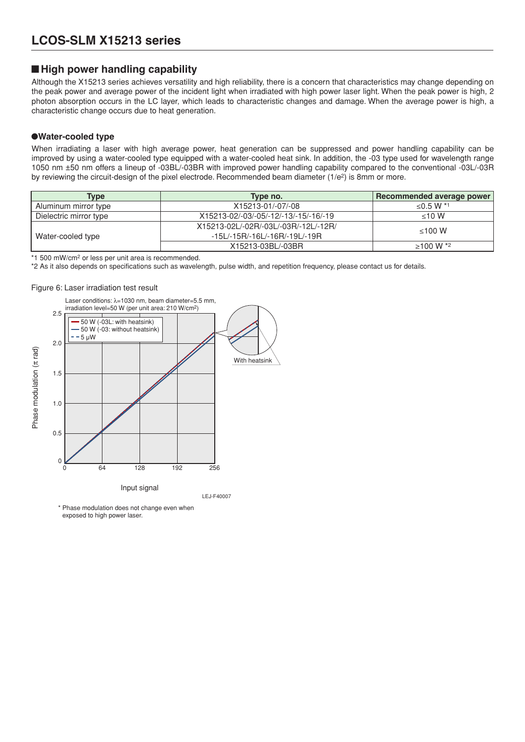## ■ High power handling capability

Although the X15213 series achieves versatility and high reliability, there is a concern that characteristics may change depending on the peak power and average power of the incident light when irradiated with high power laser light. When the peak power is high, 2 photon absorption occurs in the LC layer, which leads to characteristic changes and damage. When the average power is high, a characteristic change occurs due to heat generation.

### ●**Water-cooled type**

When irradiating a laser with high average power, heat generation can be suppressed and power handling capability can be improved by using a water-cooled type equipped with a water-cooled heat sink. In addition, the -03 type used for wavelength range 1050 nm ±50 nm offers a lineup of -03BL/-03BR with improved power handling capability compared to the conventional -03L/-03R by reviewing the circuit-design of the pixel electrode. Recommended beam diameter  $(1/e^2)$  is 8mm or more.

| Type                   | Type no.                              | Recommended average power |
|------------------------|---------------------------------------|---------------------------|
| Aluminum mirror type   | X15213-01/-07/-08                     | ≤0.5 W *1                 |
| Dielectric mirror type | X15213-02/-03/-05/-12/-13/-15/-16/-19 | $<$ 10 W                  |
|                        | X15213-02L/-02R/-03L/-03R/-12L/-12R/  | $\leq 100$ W              |
| Water-cooled type      | -15L/-15R/-16L/-16R/-19L/-19R         |                           |
|                        | X15213-03BL/-03BR                     | $\geq 100 \text{ W}$ *2   |

\*1 500 mW/cm2 or less per unit area is recommended.

\*2 As it also depends on specifications such as wavelength, pulse width, and repetition frequency, please contact us for details.

### Figure 6: Laser irradiation test result



exposed to high power laser.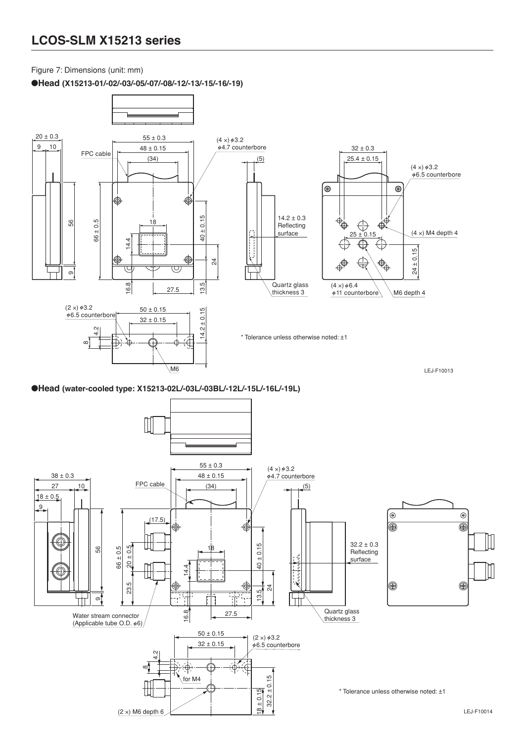## **LCOS-SLM X15213 series**

Figure 7: Dimensions (unit: mm)

●**Head (X15213-01/-02/-03/-05/-07/-08/-12/-13/-15/-16/-19)**



●**Head (water-cooled type: X15213-02L/-03L/-03BL/-12L/-15L/-16L/-19L)**

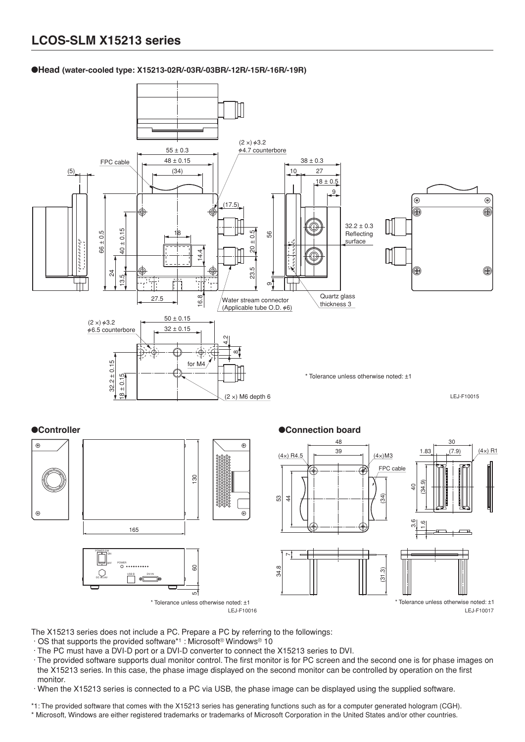### ●**Head (water-cooled type: X15213-02R/-03R/-03BR/-12R/-15R/-16R/-19R)**



The X15213 series does not include a PC. Prepare a PC by referring to the followings:

- · OS that supports the provided software\*1 : Microsoft® Windows® 10
- · The PC must have a DVI-D port or a DVI-D converter to connect the X15213 series to DVI.
- · The provided software supports dual monitor control. The first monitor is for PC screen and the second one is for phase images on the X15213 series. In this case, the phase image displayed on the second monitor can be controlled by operation on the first monitor.

· When the X15213 series is connected to a PC via USB, the phase image can be displayed using the supplied software.

\*1: The provided software that comes with the X15213 series has generating functions such as for a computer generated hologram (CGH). \* Microsoft, Windows are either registered trademarks or trademarks of Microsoft Corporation in the United States and/or other countries.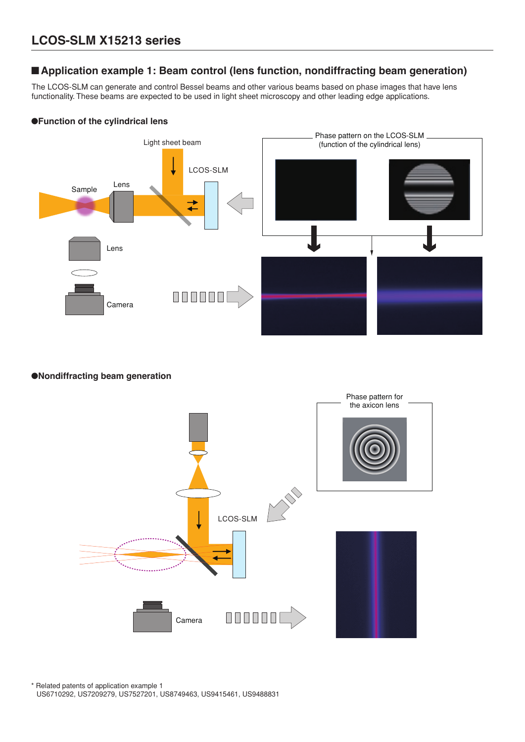## ■**Application example 1: Beam control (lens function, nondiffracting beam generation)**

The LCOS-SLM can generate and control Bessel beams and other various beams based on phase images that have lens functionality. These beams are expected to be used in light sheet microscopy and other leading edge applications.

### ●**Function of the cylindrical lens**



### ●**Nondiffracting beam generation**



\* Related patents of application example 1 US6710292, US7209279, US7527201, US8749463, US9415461, US9488831